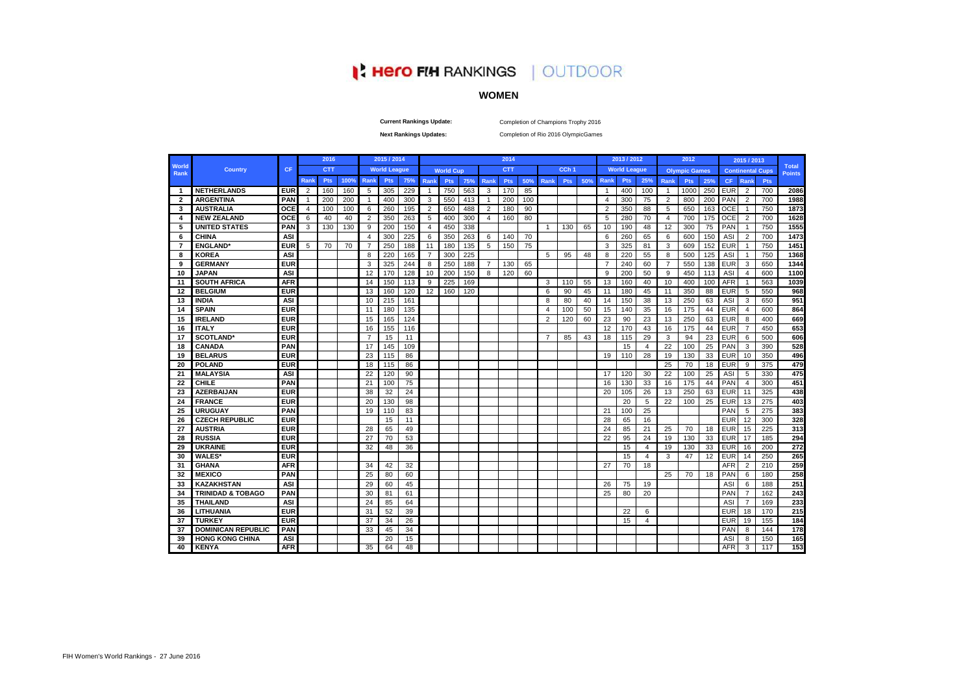# **Hero FIH RANKINGS | OUTDOOR**

# **WOMEN**

**Current Rankings Update:**

Completion of Champions Trophy 2016

**Next Rankings Updates:** 

Completion of Rio 2016 OlympicGames

|                         |                              |            |                | 2016       |      |                | 2015 / 2014         |     |                |                  |     |                | 2014       |     |                |                  |     |                | 2013 / 2012         |                |                | 2012                 |     |            | 2015 / 2013             |            |               |
|-------------------------|------------------------------|------------|----------------|------------|------|----------------|---------------------|-----|----------------|------------------|-----|----------------|------------|-----|----------------|------------------|-----|----------------|---------------------|----------------|----------------|----------------------|-----|------------|-------------------------|------------|---------------|
| World                   | <b>Country</b>               | CF         |                | <b>CTT</b> |      |                | <b>World League</b> |     |                | <b>World Cup</b> |     |                | <b>CTT</b> |     |                | CCh <sub>1</sub> |     |                | <b>World League</b> |                |                | <b>Olympic Games</b> |     |            | <b>Continental Cups</b> |            | <b>Total</b>  |
| Rank                    |                              |            | Rank           | <b>Pts</b> | 100% | <b>Rank</b>    | Pts                 | 75% | Rank           | <b>Pts</b>       | 75% | Rank           | <b>Pts</b> | 50% | <b>Rank</b>    | <b>Pts</b>       | 50% | Rank           | <b>Pts</b>          | 25%            | Rank           | <b>Pts</b>           | 25% | <b>CF</b>  | <b>Rank</b>             | <b>Pts</b> | <b>Points</b> |
| -1                      | <b>NETHERLANDS</b>           | <b>EUR</b> | $\overline{2}$ | 160        | 160  | -5             | 305                 | 229 | -1             | 750              | 563 | 3              | 170        | 85  |                |                  |     | -1             | 400                 | 100            | $\overline{1}$ | 1000                 | 250 | <b>EUR</b> | $\overline{2}$          | 700        | 2086          |
| $\overline{\mathbf{2}}$ | <b>ARGENTINA</b>             | PAN        | $\mathbf{1}$   | 200        | 200  | $\overline{1}$ | 400                 | 300 | 3              | 550              | 413 | $\overline{1}$ | 200        | 100 |                |                  |     | $\overline{4}$ | 300                 | 75             | $\overline{2}$ | 800                  | 200 | PAN        | $\overline{2}$          | 700        | 1988          |
| 3                       | <b>AUSTRALIA</b>             | OCE        | $\overline{4}$ | 100        | 100  | 6              | 260                 | 195 | $\overline{2}$ | 650              | 488 | $\overline{2}$ | 180        | 90  |                |                  |     | $\overline{2}$ | 350                 | 88             | 5              | 650                  | 163 | <b>OCE</b> |                         | 750        | 1873          |
| $\mathbf{4}$            | <b>NEW ZEALAND</b>           | <b>OCE</b> | 6              | 40         | 40   | $\overline{2}$ | 350                 | 263 | 5              | 400              | 300 | $\overline{4}$ | 160        | 80  |                |                  |     | 5              | 280                 | 70             | $\overline{4}$ | 700                  | 175 | <b>OCE</b> | $\overline{2}$          | 700        | 1628          |
| 5                       | <b>UNITED STATES</b>         | PAN        | 3              | 130        | 130  | 9              | 200                 | 150 | $\overline{4}$ | 450              | 338 |                |            |     | $\overline{1}$ | 130              | 65  | 10             | 190                 | 48             | 12             | 300                  | 75  | PAN        | -1                      | 750        | 1555          |
| 6                       | CHINA                        | ASI        |                |            |      | $\overline{4}$ | 300                 | 225 | 6              | 350              | 263 | 6              | 140        | 70  |                |                  |     | 6              | 260                 | 65             | 6              | 600                  | 150 | ASI        | 2                       | 700        | 1473          |
| 7                       | <b>ENGLAND*</b>              | <b>EUR</b> | 5              | 70         | 70   | $\overline{7}$ | 250                 | 188 | 11             | 180              | 135 | 5              | 150        | 75  |                |                  |     | 3              | 325                 | 81             | 3              | 609                  | 152 | <b>EUR</b> | -1                      | 750        | 1451          |
| 8                       | <b>KOREA</b>                 | <b>ASI</b> |                |            |      | 8              | 220                 | 165 | $\overline{7}$ | 300              | 225 |                |            |     | 5              | 95               | 48  | 8              | 220                 | 55             | 8              | 500                  | 125 | ASI        | -1                      | 750        | 1368          |
| 9                       | <b>GERMANY</b>               | <b>EUR</b> |                |            |      | 3              | 325                 | 244 | 8              | 250              | 188 | $\overline{7}$ | 130        | 65  |                |                  |     | $\overline{7}$ | 240                 | 60             | $\overline{7}$ | 550                  | 138 | <b>EUR</b> | 3                       | 650        | 1344          |
| 10                      | <b>JAPAN</b>                 | ASI        |                |            |      | 12             | 170                 | 128 | 10             | 200              | 150 | 8              | 120        | 60  |                |                  |     | 9              | 200                 | 50             | 9              | 450                  | 113 | ASI        | 4                       | 600        | 1100          |
| -11                     | <b>SOUTH AFRICA</b>          | <b>AFR</b> |                |            |      | 14             | 150                 | 113 | 9              | 225              | 169 |                |            |     | 3              | 110              | 55  | 13             | 160                 | 40             | 10             | 400                  | 100 | <b>AFR</b> | -1                      | 563        | 1039          |
| 12                      | <b>BELGIUM</b>               | <b>EUR</b> |                |            |      | 13             | 160                 | 120 | 12             | 160              | 120 |                |            |     | 6              | 90               | 45  | 11             | 180                 | 45             | 11             | 350                  | 88  | <b>EUR</b> | 5                       | 550        | 968           |
| 13                      | <b>INDIA</b>                 | <b>ASI</b> |                |            |      | 10             | 215                 | 161 |                |                  |     |                |            |     | 8              | 80               | 40  | 14             | 150                 | 38             | 13             | 250                  | 63  | ASI        | 3                       | 650        | 951           |
| 14                      | <b>SPAIN</b>                 | <b>EUR</b> |                |            |      | 11             | 180                 | 135 |                |                  |     |                |            |     | $\overline{4}$ | 100              | 50  | 15             | 140                 | 35             | 16             | 175                  | 44  | <b>EUR</b> | 4                       | 600        | 864           |
| 15                      | <b>IRELAND</b>               | <b>EUR</b> |                |            |      | 15             | 165                 | 124 |                |                  |     |                |            |     | 2              | 120              | 60  | 23             | 90                  | 23             | 13             | 250                  | 63  | <b>EUR</b> | 8                       | 400        | 669           |
| 16                      | <b>ITALY</b>                 | <b>EUR</b> |                |            |      | 16             | 155                 | 116 |                |                  |     |                |            |     |                |                  |     | 12             | 170                 | 43             | 16             | 175                  | 44  | <b>EUR</b> | 7                       | 450        | 653           |
| 17                      | <b>SCOTLAND*</b>             | <b>EUR</b> |                |            |      | $\overline{7}$ | 15                  | 11  |                |                  |     |                |            |     | $\overline{7}$ | 85               | 43  | 18             | 115                 | 29             | 3              | 94                   | 23  | <b>EUR</b> | 6                       | 500        | 606           |
| 18                      | <b>CANADA</b>                | PAN        |                |            |      | 17             | 145                 | 109 |                |                  |     |                |            |     |                |                  |     |                | 15                  | $\overline{a}$ | 22             | 100                  | 25  | PAN        | 3                       | 390        | 528           |
| 19                      | <b>BELARUS</b>               | <b>EUR</b> |                |            |      | 23             | 115                 | 86  |                |                  |     |                |            |     |                |                  |     | 19             | 110                 | 28             | 19             | 130                  | 33  | <b>EUR</b> | 10                      | 350        | 496           |
| 20                      | <b>POLAND</b>                | <b>EUR</b> |                |            |      | 18             | 115                 | 86  |                |                  |     |                |            |     |                |                  |     |                |                     |                | 25             | 70                   | 18  | <b>EUR</b> | 9                       | 375        | 479           |
| 21                      | <b>MALAYSIA</b>              | <b>ASI</b> |                |            |      | 22             | 120                 | 90  |                |                  |     |                |            |     |                |                  |     | 17             | 120                 | 30             | 22             | 100                  | 25  | ASI        | 5                       | 330        | 475           |
| 22                      | <b>CHILE</b>                 | PAN        |                |            |      | 21             | 100                 | 75  |                |                  |     |                |            |     |                |                  |     | 16             | 130                 | 33             | 16             | 175                  | 44  | PAN        | $\overline{4}$          | 300        | 451           |
| 23                      | <b>AZERBAIJAN</b>            | <b>EUR</b> |                |            |      | 38             | 32                  | 24  |                |                  |     |                |            |     |                |                  |     | 20             | 105                 | 26             | 13             | 250                  | 63  | <b>EUR</b> | 11                      | 325        | 438           |
| 24                      | <b>FRANCE</b>                | <b>EUR</b> |                |            |      | 20             | 130                 | 98  |                |                  |     |                |            |     |                |                  |     |                | 20                  | 5              | 22             | 100                  | 25  | <b>EUR</b> | 13                      | 275        | 403           |
| 25                      | <b>URUGUAY</b>               | PAN        |                |            |      | 19             | 110                 | 83  |                |                  |     |                |            |     |                |                  |     | 21             | 100                 | 25             |                |                      |     | PAN        | 5                       | 275        | 383           |
| 26                      | <b>CZECH REPUBLIC</b>        | <b>EUR</b> |                |            |      |                | 15                  | 11  |                |                  |     |                |            |     |                |                  |     | 28             | 65                  | 16             |                |                      |     | <b>EUR</b> | 12                      | 300        | 328           |
| 27                      | <b>AUSTRIA</b>               | <b>EUR</b> |                |            |      | 28             | 65                  | 49  |                |                  |     |                |            |     |                |                  |     | 24             | 85                  | 21             | 25             | 70                   | 18  | <b>EUR</b> | 15                      | 225        | 313           |
| 28                      | <b>RUSSIA</b>                | <b>EUR</b> |                |            |      | 27             | 70                  | 53  |                |                  |     |                |            |     |                |                  |     | 22             | 95                  | 24             | 19             | 130                  | 33  | <b>EUR</b> | 17                      | 185        | 294           |
| 29                      | <b>UKRAINE</b>               | <b>EUR</b> |                |            |      | 32             | 48                  | 36  |                |                  |     |                |            |     |                |                  |     |                | 15                  | 4              | 19             | 130                  | 33  | <b>EUR</b> | 16                      | 200        | 272           |
| 30                      | <b>WALES'</b>                | <b>EUR</b> |                |            |      |                |                     |     |                |                  |     |                |            |     |                |                  |     |                | 15                  | 4              | 3              | 47                   | 12  | <b>EUR</b> | 14                      | 250        | 265           |
| 31                      | <b>GHANA</b>                 | <b>AFR</b> |                |            |      | 34             | 42                  | 32  |                |                  |     |                |            |     |                |                  |     | 27             | 70                  | 18             |                |                      |     | <b>AFR</b> | 2                       | 210        | 259           |
| 32                      | <b>MEXICO</b>                | PAN        |                |            |      | 25             | 80                  | 60  |                |                  |     |                |            |     |                |                  |     |                |                     |                | 25             | 70                   | 18  | PAN        | 6                       | 180        | 258           |
| 33                      | KAZAKHSTAN                   | <b>ASI</b> |                |            |      | 29             | 60                  | 45  |                |                  |     |                |            |     |                |                  |     | 26             | 75                  | 19             |                |                      |     | <b>ASI</b> | 6                       | 188        | 251           |
| 34                      | <b>TRINIDAD &amp; TOBAGO</b> | PAN        |                |            |      | 30             | 81                  | 61  |                |                  |     |                |            |     |                |                  |     | 25             | 80                  | 20             |                |                      |     | PAN        | $\overline{7}$          | 162        | 243           |
| 35                      | <b>THAILAND</b>              | <b>ASI</b> |                |            |      | 24             | 85                  | 64  |                |                  |     |                |            |     |                |                  |     |                |                     |                |                |                      |     | <b>ASI</b> | $\overline{7}$          | 169        | 233           |
| 36                      | LITHUANIA                    | <b>EUR</b> |                |            |      | 31             | 52                  | 39  |                |                  |     |                |            |     |                |                  |     |                | 22                  | 6              |                |                      |     | EUR        | 18                      | 170        | 215           |
| 37                      | <b>TURKEY</b>                | <b>EUR</b> |                |            |      | 37             | 34                  | 26  |                |                  |     |                |            |     |                |                  |     |                | 15                  | 4              |                |                      |     | EUR        | 19                      | 155        | 184           |
| 37                      | <b>DOMINICAN REPUBLIC</b>    | PAN        |                |            |      | 33             | 45                  | 34  |                |                  |     |                |            |     |                |                  |     |                |                     |                |                |                      |     | PAN        | 8                       | 144        | 178           |
| 39                      | <b>HONG KONG CHINA</b>       | ASI        |                |            |      |                | 20                  | 15  |                |                  |     |                |            |     |                |                  |     |                |                     |                |                |                      |     | AS         | 8                       | 150        | 165           |
| 40                      | <b>KENYA</b>                 | <b>AFR</b> |                |            |      | 35             | 64                  | 48  |                |                  |     |                |            |     |                |                  |     |                |                     |                |                |                      |     | <b>AFR</b> | 3                       | 117        | 153           |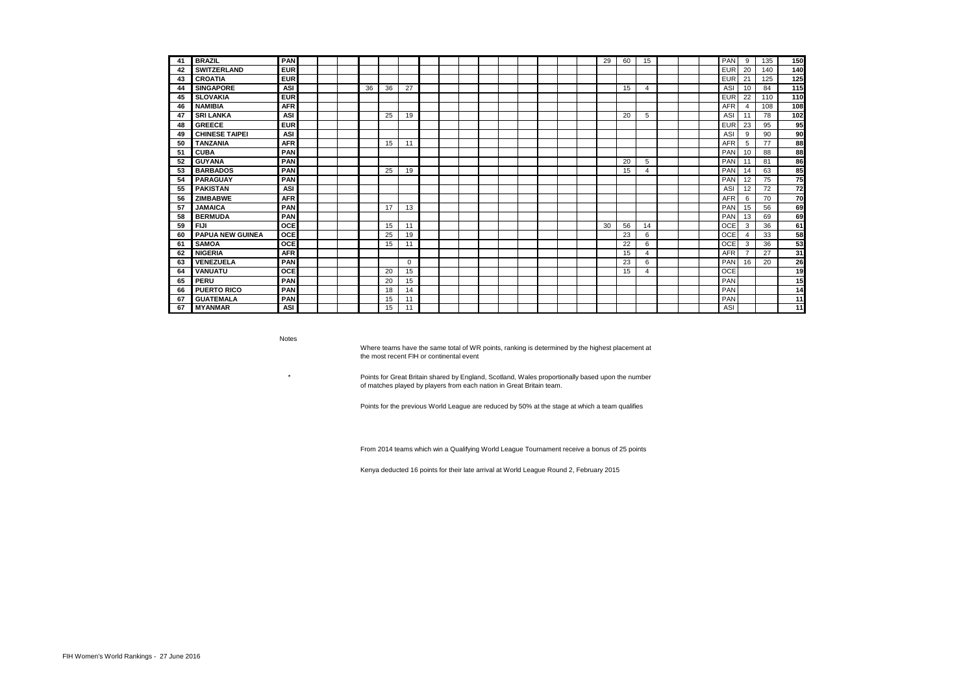| 41 | <b>BRAZIL</b>           | PAN        |  |    |    |    |  |  |  |  | 29 | 60 | 15             |  | PAN        | 9                     | 135 | 150 |
|----|-------------------------|------------|--|----|----|----|--|--|--|--|----|----|----------------|--|------------|-----------------------|-----|-----|
| 42 | <b>SWITZERLAND</b>      | <b>EUR</b> |  |    |    |    |  |  |  |  |    |    |                |  | <b>EUR</b> | 20                    | 140 | 140 |
| 43 | <b>CROATIA</b>          | <b>EUR</b> |  |    |    |    |  |  |  |  |    |    |                |  | <b>EUR</b> | 21                    | 125 | 125 |
| 44 | <b>SINGAPORE</b>        | <b>ASI</b> |  | 36 | 36 | 27 |  |  |  |  |    | 15 | $\overline{4}$ |  | ASI        | 10                    | 84  | 115 |
| 45 | <b>SLOVAKIA</b>         | <b>EUR</b> |  |    |    |    |  |  |  |  |    |    |                |  | <b>EUR</b> | 22                    | 110 | 110 |
| 46 | <b>NAMIBIA</b>          | <b>AFR</b> |  |    |    |    |  |  |  |  |    |    |                |  | <b>AFR</b> | 4                     | 108 | 108 |
| 47 | <b>SRI LANKA</b>        | <b>ASI</b> |  |    | 25 | 19 |  |  |  |  |    | 20 | 5              |  | ASI        | 11                    | 78  | 102 |
| 48 | <b>GREECE</b>           | <b>EUR</b> |  |    |    |    |  |  |  |  |    |    |                |  | <b>EUR</b> | 23                    | 95  | 95  |
| 49 | <b>CHINESE TAIPEI</b>   | <b>ASI</b> |  |    |    |    |  |  |  |  |    |    |                |  | ASI        | 9                     | 90  | 90  |
| 50 | <b>TANZANIA</b>         | <b>AFR</b> |  |    | 15 | 11 |  |  |  |  |    |    |                |  | <b>AFR</b> | 5                     | 77  | 88  |
| 51 | <b>CUBA</b>             | PAN        |  |    |    |    |  |  |  |  |    |    |                |  | PAN        | 10                    | 88  | 88  |
| 52 | <b>GUYANA</b>           | PAN        |  |    |    |    |  |  |  |  |    | 20 | 5              |  | PAN        | 11                    | 81  | 86  |
| 53 | <b>BARBADOS</b>         | PAN        |  |    | 25 | 19 |  |  |  |  |    | 15 | $\overline{a}$ |  | PAN        | 14                    | 63  | 85  |
| 54 | <b>PARAGUAY</b>         | PAN        |  |    |    |    |  |  |  |  |    |    |                |  | PAN        | 12                    | 75  | 75  |
| 55 | <b>PAKISTAN</b>         | <b>ASI</b> |  |    |    |    |  |  |  |  |    |    |                |  | ASI        | 12                    | 72  | 72  |
| 56 | <b>ZIMBABWE</b>         | <b>AFR</b> |  |    |    |    |  |  |  |  |    |    |                |  | <b>AFR</b> | 6                     | 70  | 70  |
| 57 | <b>JAMAICA</b>          | PAN        |  |    | 17 | 13 |  |  |  |  |    |    |                |  | PAN        | 15                    | 56  | 69  |
| 58 | <b>BERMUDA</b>          | PAN        |  |    |    |    |  |  |  |  |    |    |                |  | PAN        | 13                    | 69  | 69  |
| 59 | <b>FIJI</b>             | OCE        |  |    | 15 | 11 |  |  |  |  | 30 | 56 | 14             |  | <b>OCE</b> | 3                     | 36  | 61  |
| 60 | <b>PAPUA NEW GUINEA</b> | <b>OCE</b> |  |    | 25 | 19 |  |  |  |  |    | 23 | 6              |  | <b>OCE</b> | $\boldsymbol{\Delta}$ | 33  | 58  |
| 61 | <b>SAMOA</b>            | OCE        |  |    | 15 | 11 |  |  |  |  |    | 22 | 6              |  | <b>OCE</b> | 3                     | 36  | 53  |
| 62 | <b>NIGERIA</b>          | <b>AFR</b> |  |    |    |    |  |  |  |  |    | 15 | $\overline{4}$ |  | <b>AFR</b> | $\overline{7}$        | 27  | 31  |
| 63 | <b>VENEZUELA</b>        | PAN        |  |    |    | 0  |  |  |  |  |    | 23 | 6              |  | PAN        | 16                    | 20  | 26  |
| 64 | <b>VANUATU</b>          | OCE        |  |    | 20 | 15 |  |  |  |  |    | 15 | 4              |  | <b>OCE</b> |                       |     | 19  |
| 65 | PERU                    | PAN        |  |    | 20 | 15 |  |  |  |  |    |    |                |  | PAN        |                       |     | 15  |
| 66 | <b>PUERTO RICO</b>      | PAN        |  |    | 18 | 14 |  |  |  |  |    |    |                |  | PAN        |                       |     | 14  |
| 67 | <b>GUATEMALA</b>        | PAN        |  |    | 15 | 11 |  |  |  |  |    |    |                |  | PAN        |                       |     | 11  |
| 67 | <b>MYANMAR</b>          | <b>ASI</b> |  |    | 15 | 11 |  |  |  |  |    |    |                |  | ASI        |                       |     | 11  |

Notes

\*

Where teams have the same total of WR points, ranking is determined by the highest placement at the most recent FIH or continental event

Points for Great Britain shared by England, Scotland, Wales proportionally based upon the number of matches played by players from each nation in Great Britain team.

Points for the previous World League are reduced by 50% at the stage at which a team qualifies

From 2014 teams which win a Qualifying World League Tournament receive a bonus of 25 points

Kenya deducted 16 points for their late arrival at World League Round 2, February 2015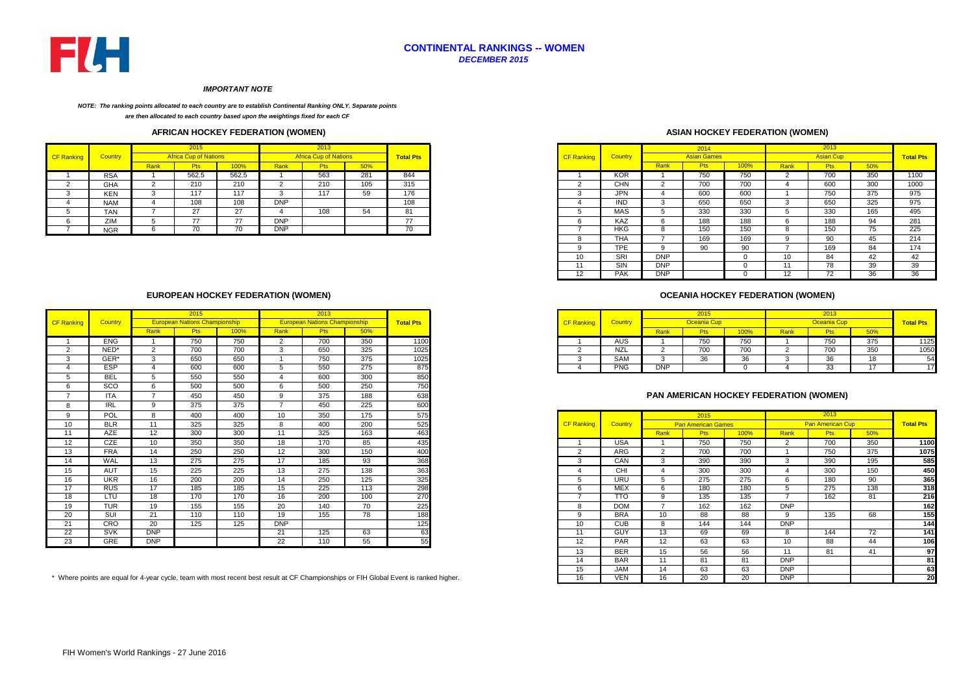

# **CONTINENTAL RANKINGS -- WOMEN** *DECEMBER 2015*

#### *IMPORTANT NOTE*

#### *NOTE: The ranking points allocated to each country are to establish Continental Ranking ONLY. Separate points*

*are then allocated to each country based upon the weightings fixed for each CF* 

# **AFRICAN HOCKEY FEDERATION (WOMEN)**

|                   |                |      | 2015                         |       |            | 2013                         |     |                  |
|-------------------|----------------|------|------------------------------|-------|------------|------------------------------|-----|------------------|
| <b>CF Ranking</b> | <b>Country</b> |      | <b>Africa Cup of Nations</b> |       |            | <b>Africa Cup of Nations</b> |     | <b>Total Pts</b> |
|                   |                | Rank | <b>Pts</b>                   | 100%  | Rank       | <b>Pts</b>                   | 50% |                  |
|                   | <b>RSA</b>     |      | 562.5                        | 562.5 |            | 563                          | 281 | 844              |
|                   | GHA            |      | 210                          | 210   |            | 210                          | 105 | 315              |
|                   | KEN            |      | 117                          | 117   | - 3        | 117                          | 59  | 176              |
|                   | <b>NAM</b>     |      | 108                          | 108   | <b>DNP</b> |                              |     | 108              |
|                   | <b>TAN</b>     |      | 27                           | 27    |            | 108                          | 54  | 81               |
|                   | ZIM            |      | 77                           | 77    | <b>DNP</b> |                              |     | 77               |
|                   | <b>NGR</b>     |      | 70                           | 70    | <b>DNP</b> |                              |     | 70               |
|                   |                |      |                              |       |            |                              |     |                  |

# **EUROPEAN HOCKEY FEDERATION (WOMEN)**

|                   |            |            | 2015                                 |      |                | 2013                                 |     |                  |
|-------------------|------------|------------|--------------------------------------|------|----------------|--------------------------------------|-----|------------------|
| <b>CF Ranking</b> | Country    |            | <b>European Nations Championship</b> |      |                | <b>European Nations Championship</b> |     | <b>Total Pts</b> |
|                   |            | Rank       | <b>Pts</b>                           | 100% | Rank           | <b>Pts</b>                           | 50% |                  |
|                   | <b>ENG</b> |            | 750                                  | 750  | 2              | 700                                  | 350 | 1100             |
| 2                 | NED*       | 2          | 700                                  | 700  | 3              | 650                                  | 325 | 1025             |
| 3                 | GER*       | 3          | 650                                  | 650  |                | 750                                  | 375 | 1025             |
|                   | <b>ESP</b> | Δ          | 600                                  | 600  | 5              | 550                                  | 275 | 875              |
|                   | <b>BEL</b> | 5          | 550                                  | 550  |                | 600                                  | 300 | 850              |
|                   | SCO        | 6          | 500                                  | 500  | 6              | 500                                  | 250 | 750              |
|                   | <b>ITA</b> |            | 450                                  | 450  | 9              | 375                                  | 188 | 638              |
|                   | <b>IRL</b> | 9          | 375                                  | 375  | $\overline{z}$ | 450                                  | 225 | 600              |
| Q                 | POL        | 8          | 400                                  | 400  | 10             | 350                                  | 175 | 575              |
| 10                | <b>BLR</b> | 11         | 325                                  | 325  | 8              | 400                                  | 200 | 525              |
| 11                | <b>AZE</b> | 12         | 300                                  | 300  | 11             | 325                                  | 163 | 463              |
| $12 \overline{ }$ | <b>CZE</b> | 10         | 350                                  | 350  | 18             | 170                                  | 85  | 435              |
| 13                | <b>FRA</b> | 14         | 250                                  | 250  | 12             | 300                                  | 150 | 400              |
| 14                | WAL        | 13         | 275                                  | 275  | 17             | 185                                  | 93  | 368              |
| 15                | <b>AUT</b> | 15         | 225                                  | 225  | 13             | 275                                  | 138 | 363              |
| 16                | <b>UKR</b> | 16         | 200                                  | 200  | 14             | 250                                  | 125 | 325              |
| 17                | <b>RUS</b> | 17         | 185                                  | 185  | 15             | 225                                  | 113 | 298              |
| 18                | LTU        | 18         | 170                                  | 170  | 16             | 200                                  | 100 | 270              |
| 19                | <b>TUR</b> | 19         | 155                                  | 155  | 20             | 140                                  | 70  | 225              |
| 20                | SUI        | 21         | 110                                  | 110  | 19             | 155                                  | 78  | 188              |
| 21                | CRO        | 20         | 125                                  | 125  | <b>DNP</b>     |                                      |     | 125              |
| 22                | <b>SVK</b> | <b>DNP</b> |                                      |      | 21             | 125                                  | 63  | 63               |
| 23                | <b>GRE</b> | <b>DNP</b> |                                      |      | 22             | 110                                  | 55  | 55               |

# **ASIAN HOCKEY FEDERATION (WOMEN)**

|            |      | 2015                         |       |            | 2013                         |     |                  |                   |            |            | 2014               |      |      | 2013             |                                        |                  |
|------------|------|------------------------------|-------|------------|------------------------------|-----|------------------|-------------------|------------|------------|--------------------|------|------|------------------|----------------------------------------|------------------|
| Country    |      | <b>Africa Cup of Nations</b> |       |            | <b>Africa Cup of Nations</b> |     | <b>Total Pts</b> | <b>CF Ranking</b> | Country    |            | <b>Asian Games</b> |      |      | <b>Asian Cup</b> |                                        | <b>Total Pts</b> |
|            | Rank | <b>Pts</b>                   | 100%  | Rank       | <b>Pts</b>                   | 50% |                  |                   |            | Rank       | <b>Pts</b>         | 100% | Rank | <b>Pts</b>       | 50%                                    |                  |
| <b>RSA</b> |      | 562.5                        | 562.5 |            | 563                          | 281 | 844              |                   | <b>KOR</b> |            | 750                | 750  |      | 700              | 350                                    |                  |
| <b>GHA</b> |      | 210                          | 210   |            | 210                          | 105 | 315              |                   | <b>CHN</b> |            | 700                | 700  |      | 600              | 300                                    |                  |
| <b>KEN</b> |      | 117                          | 117   |            | 117                          | 59  | 176              |                   | <b>JPN</b> |            | 600                | 600  |      | 750              | 375                                    |                  |
| <b>NAM</b> |      | 108                          | 108   | <b>DNP</b> |                              |     | 108              |                   | <b>IND</b> |            | 650                | 650  |      | 650              | 325                                    |                  |
| <b>TAN</b> |      | 27                           | 27    |            | 108                          | 54  | 81               |                   | MAS        |            | 330                | 330  |      | 330              | 165                                    |                  |
| ZIM        |      | 77                           | 77    | <b>DNP</b> |                              |     | 77               |                   | KAZ        |            | 188                | 188  |      | 188              | 94                                     |                  |
| <b>NGR</b> |      | 70<br>7 U                    | 70    | <b>DNP</b> |                              |     | 70               |                   | HKG        |            | 150                | 150  |      | 150              | $\overline{\phantom{a}}$<br>$\sqrt{5}$ |                  |
|            |      |                              |       |            |                              |     |                  |                   | <b>THA</b> |            | 169                | 169  |      | 90               | 45                                     |                  |
|            |      |                              |       |            |                              |     |                  |                   | <b>TPE</b> |            | 90                 | 90   |      | 169              | 84                                     |                  |
|            |      |                              |       |            |                              |     |                  | 10                | SRI        | <b>DNP</b> |                    | -0   | 10   | 84               | 42                                     |                  |
|            |      |                              |       |            |                              |     |                  |                   | SIN        | <b>DNP</b> |                    |      | 11   | 78               | 39                                     |                  |
|            |      |                              |       |            |                              |     |                  | 12                | <b>PAK</b> | <b>DNP</b> |                    |      | 12   | 72               | 36                                     |                  |

# **OCEANIA HOCKEY FEDERATION (WOMEN)**

|         |            |                                      |      |      |                                      |     |                  |                   |            |                    |                             |              |      | 2013     |                   |                  |
|---------|------------|--------------------------------------|------|------|--------------------------------------|-----|------------------|-------------------|------------|--------------------|-----------------------------|--------------|------|----------|-------------------|------------------|
| Country |            | <b>European Nations Championship</b> |      |      | <b>European Nations Championship</b> |     | <b>Total Pts</b> | <b>CF Ranking</b> | Country    |                    | Oceania Cuj                 |              |      |          |                   | <b>Total Pts</b> |
|         |            |                                      | 100% | Rank | w                                    | 50% |                  |                   |            | <b><u>xank</u></b> |                             | 100%         | Rank |          |                   |                  |
|         | <b>ENG</b> | 750                                  | 750  |      | 700                                  | 350 | 1100             |                   | AUS        |                    | 750<br>7 JU                 | 750          |      | 750      | 375               |                  |
|         | NED*       | 700<br>טט ו                          | 700  |      | 650                                  | 325 | 1025             |                   | NZL        |                    | $\rightarrow$ $\sim$<br>100 | 700          |      | 700      | 350<br>ບບບ        |                  |
|         | GER*       | 650                                  | 650  |      | 750                                  | 375 | 1025             |                   | SAM        |                    | 26                          | $\sim$<br>ახ |      |          | $\sqrt{2}$<br>10. |                  |
|         | <b>ESP</b> | 600                                  | 600  |      | 550                                  | 275 | 875              |                   | <b>PNG</b> | DNP                |                             |              |      | ົ<br>ن ب |                   |                  |

### **PAN AMERICAN HOCKEY FEDERATION (WOMEN)**

|                | POL        |            | 400                                                                                                                                 | 400 | 10         | 350 | 175 | 575 |                   |                         |                 | 2015                      |      |            | 2013                    |     |                  |
|----------------|------------|------------|-------------------------------------------------------------------------------------------------------------------------------------|-----|------------|-----|-----|-----|-------------------|-------------------------|-----------------|---------------------------|------|------------|-------------------------|-----|------------------|
| 10             | <b>BLR</b> | 11         | 325                                                                                                                                 | 325 | 8          | 400 | 200 | 525 | <b>CF Ranking</b> | Country                 |                 | <b>Pan American Games</b> |      |            | <b>Pan American Cup</b> |     | <b>Total Pts</b> |
| $\overline{A}$ | <b>AZE</b> | 12         | 300                                                                                                                                 | 300 | 11         | 325 | 163 | 463 |                   |                         | <b>Rank</b>     | <b>Pts</b>                | 100% | Rank       | Pts                     | 50% |                  |
| 12             | CZE        | 10         | 350                                                                                                                                 | 350 | 18         | 170 | 85  | 435 |                   | <b>USA</b>              |                 | 750                       | 750  |            | 700                     | 350 | 1100             |
| 13             | <b>FRA</b> | 14         | 250                                                                                                                                 | 250 | 12         | 300 | 150 | 400 |                   | <b>ARG</b>              |                 | 700                       | 700  |            | 750                     | 375 | 1075             |
| 14             | WAL        | 13         | 275                                                                                                                                 | 275 | 17         | 185 | 93  | 368 |                   | CAN                     |                 | 390                       | 390  |            | 390                     | 195 | 585              |
| 15             | AUT        | 15         | 225                                                                                                                                 | 225 | 13         | 275 | 138 | 363 |                   | CHI                     |                 | 300                       | 300  |            | 300                     | 150 | 450              |
| 16             | <b>UKR</b> | 16         | 200                                                                                                                                 | 200 | 14         | 250 | 125 | 325 |                   | <b>URU</b>              |                 | 275                       | 275  | 6          | 180                     | 90  | 365              |
| 17             | <b>RUS</b> | 17         | 185                                                                                                                                 | 185 | 15         | 225 | 113 | 298 | h                 | <b>MEX</b>              | 6               | 180                       | 180  |            | 275                     | 138 | 318              |
| 18             | LTU        | 18         | 170                                                                                                                                 | 170 | 16         | 200 | 100 | 270 |                   | $\overline{\text{tto}}$ |                 | 135                       | 135  |            | 162                     | 81  | 216              |
| 19             | <b>TUR</b> | 19         | 155                                                                                                                                 | 155 | 20         | 140 | 70  | 225 | 8                 | <b>DOM</b>              |                 | 162                       | 162  | <b>DNP</b> |                         |     | 162              |
| 20             | SUI        | 21         | 110                                                                                                                                 | 110 | 19         | 155 | 78  | 188 | Q                 | <b>BRA</b>              | 10 <sup>°</sup> | 88                        | 88   |            | 135                     | 68  | 155              |
|                | CRO        | 20         | 125                                                                                                                                 | 125 | <b>DNP</b> |     |     | 125 | 10 <sup>1</sup>   | <b>CUB</b>              | 8               | 144                       | 144  | <b>DNP</b> |                         |     | 144              |
| 22             | SVK        | <b>DNP</b> |                                                                                                                                     |     | 21         | 125 | 63  | 63  | 11                | <b>GUY</b>              | 13              | 69                        | 69   | 8          | 144                     | 72  | 141              |
| 23             | GRE        | <b>DNP</b> |                                                                                                                                     |     | 22         | 110 | 55  | 55  | 12                | <b>PAR</b>              | 12              | 63                        | 63   | 10         | 88                      | 44  | 106              |
|                |            |            |                                                                                                                                     |     |            |     |     |     | 13                | <b>BER</b>              | 15              | 56                        | 56   |            | 81                      | 41  | 97               |
|                |            |            |                                                                                                                                     |     |            |     |     |     | 14                | <b>BAR</b>              | 11              | 81                        | 81   | <b>DNP</b> |                         |     | 81               |
|                |            |            |                                                                                                                                     |     |            |     |     |     | 15                | <b>JAM</b>              | 14              | 63                        | 63   | <b>DNP</b> |                         |     | 63               |
|                |            |            | here points are equal for 4-year cycle, team with most recent best result at CF Championships or FIH Global Event is ranked higher. |     |            |     |     |     | 16                | <b>VEN</b>              | 16              | 20                        | 20   | <b>DNP</b> |                         |     | 20               |